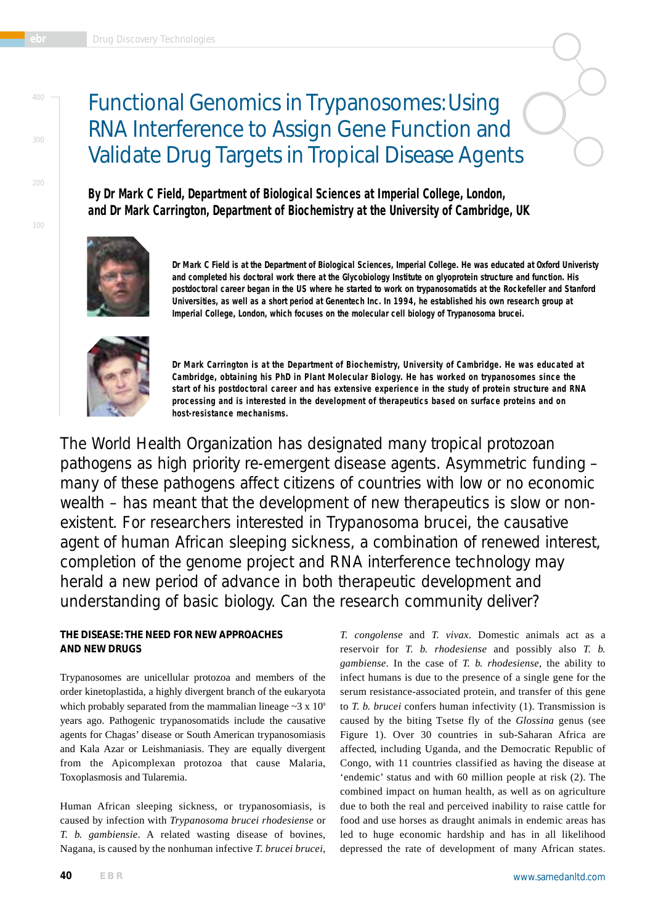# Functional Genomics in Trypanosomes: Using RNA Interference to Assign Gene Function and Validate Drug Targets in Tropical Disease Agents

**By Dr Mark C Field, Department of Biological Sciences at Imperial College, London, and Dr Mark Carrington, Department of Biochemistry at the University of Cambridge, UK**



**Dr Mark C Field is at the Department of Biological Sciences, Imperial College. He was educated at Oxford Univeristy and completed his doctoral work there at the Glycobiology Institute on glyoprotein structure and function. His postdoctoral career began in the US where he started to work on trypanosomatids at the Rockefeller and Stanford Universities, as well as a short period at Genentech Inc. In 1994, he established his own research group at Imperial College, London, which focuses on the molecular cell biology of** *Trypanosoma brucei***.** 



**Dr Mark Carrington is at the Department of Biochemistry, University of Cambridge. He was educated at Cambridge, obtaining his PhD in Plant Molecular Biology. He has worked on trypanosomes since the start of his postdoctoral career and has extensive experience in the study of protein structure and RNA processing and is interested in the development of therapeutics based on surface proteins and on host-resistance mechanisms.**

The World Health Organization has designated many tropical protozoan pathogens as high priority re-emergent disease agents. Asymmetric funding – many of these pathogens affect citizens of countries with low or no economic wealth – has meant that the development of new therapeutics is slow or nonexistent. For researchers interested in *Trypanosoma brucei*, the causative agent of human African sleeping sickness, a combination of renewed interest, completion of the genome project and RNA interference technology may herald a new period of advance in both therapeutic development and understanding of basic biology. Can the research community deliver?

# **THE DISEASE: THE NEED FOR NEW APPROACHES AND NEW DRUGS**

Trypanosomes are unicellular protozoa and members of the order kinetoplastida, a highly divergent branch of the eukaryota which probably separated from the mammalian lineage  $\sim$ 3 x 10<sup>9</sup> years ago. Pathogenic trypanosomatids include the causative agents for Chagas' disease or South American trypanosomiasis and Kala Azar or Leishmaniasis. They are equally divergent from the Apicomplexan protozoa that cause Malaria, Toxoplasmosis and Tularemia.

Human African sleeping sickness, or trypanosomiasis, is caused by infection with *Trypanosoma brucei rhodesiense* or *T. b. gambiensie*. A related wasting disease of bovines, Nagana, is caused by the nonhuman infective *T. brucei brucei*, *T. congolense* and *T. vivax*. Domestic animals act as a reservoir for *T. b. rhodesiense* and possibly also *T. b. gambiense*. In the case of *T. b. rhodesiense*, the ability to infect humans is due to the presence of a single gene for the serum resistance-associated protein, and transfer of this gene to *T. b. brucei* confers human infectivity (1). Transmission is caused by the biting Tsetse fly of the *Glossina* genus (see Figure 1). Over 30 countries in sub-Saharan Africa are affected, including Uganda, and the Democratic Republic of Congo, with 11 countries classified as having the disease at 'endemic' status and with 60 million people at risk (2). The combined impact on human health, as well as on agriculture due to both the real and perceived inability to raise cattle for food and use horses as draught animals in endemic areas has led to huge economic hardship and has in all likelihood depressed the rate of development of many African states.

100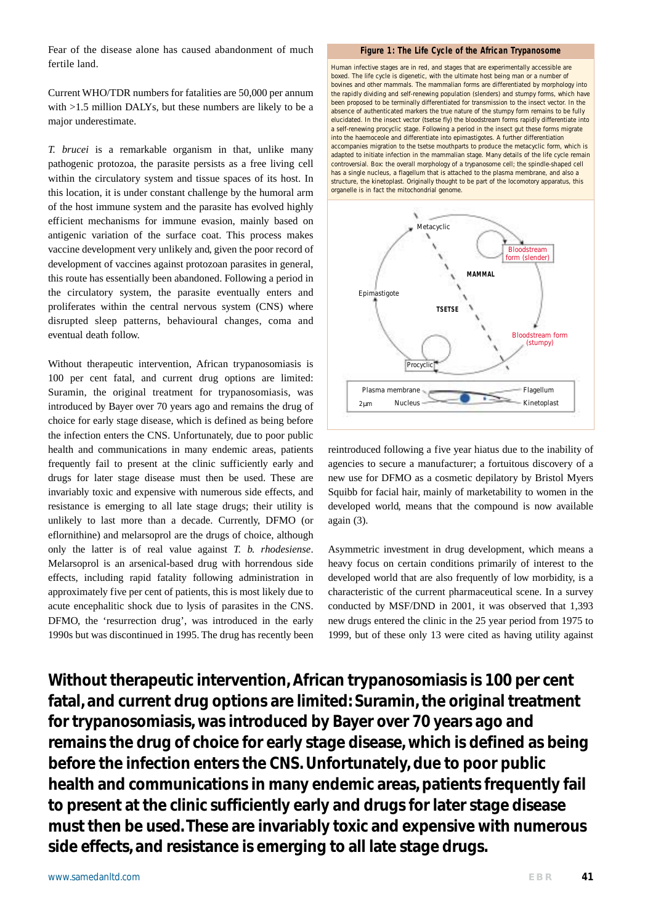Fear of the disease alone has caused abandonment of much fertile land.

Current WHO/TDR numbers for fatalities are 50,000 per annum with >1.5 million DALYs, but these numbers are likely to be a major underestimate.

*T. brucei* is a remarkable organism in that, unlike many pathogenic protozoa, the parasite persists as a free living cell within the circulatory system and tissue spaces of its host. In this location, it is under constant challenge by the humoral arm of the host immune system and the parasite has evolved highly efficient mechanisms for immune evasion, mainly based on antigenic variation of the surface coat. This process makes vaccine development very unlikely and, given the poor record of development of vaccines against protozoan parasites in general, this route has essentially been abandoned. Following a period in the circulatory system, the parasite eventually enters and proliferates within the central nervous system (CNS) where disrupted sleep patterns, behavioural changes, coma and eventual death follow.

Without therapeutic intervention, African trypanosomiasis is 100 per cent fatal, and current drug options are limited: Suramin, the original treatment for trypanosomiasis, was introduced by Bayer over 70 years ago and remains the drug of choice for early stage disease, which is defined as being before the infection enters the CNS. Unfortunately, due to poor public health and communications in many endemic areas, patients frequently fail to present at the clinic sufficiently early and drugs for later stage disease must then be used. These are invariably toxic and expensive with numerous side effects, and resistance is emerging to all late stage drugs; their utility is unlikely to last more than a decade. Currently, DFMO (or eflornithine) and melarsoprol are the drugs of choice, although only the latter is of real value against *T. b. rhodesiense*. Melarsoprol is an arsenical-based drug with horrendous side effects, including rapid fatality following administration in approximately five per cent of patients, this is most likely due to acute encephalitic shock due to lysis of parasites in the CNS. DFMO, the 'resurrection drug', was introduced in the early 1990s but was discontinued in 1995. The drug has recently been

#### **Figure 1: The Life Cycle of the African Trypanosome**

Human infective stages are in red, and stages that are experimentally accessible are boxed. The life cycle is digenetic, with the ultimate host being man or a number of bovines and other mammals. The mammalian forms are differentiated by morphology into the rapidly dividing and self-renewing population (slenders) and stumpy forms, which have been proposed to be terminally differentiated for transmission to the insect vector. In the absence of authenticated markers the true nature of the stumpy form remains to be fully elucidated. In the insect vector (tsetse fly) the bloodstream forms rapidly differentiate into a self-renewing procyclic stage. Following a period in the insect gut these forms migrate into the haemoceole and differentiate into epimastigotes. A further differentiation accompanies migration to the tsetse mouthparts to produce the metacyclic form, which is adapted to initiate infection in the mammalian stage. Many details of the life cycle remain controversial. Box: the overall morphology of a trypanosome cell; the spindle-shaped cell has a single nucleus, a flagellum that is attached to the plasma membrane, and also a structure, the kinetoplast. Originally thought to be part of the locomotory apparatus, this organelle is in fact the mitochondrial genome.



reintroduced following a five year hiatus due to the inability of agencies to secure a manufacturer; a fortuitous discovery of a new use for DFMO as a cosmetic depilatory by Bristol Myers Squibb for facial hair, mainly of marketability to women in the developed world, means that the compound is now available again (3).

Asymmetric investment in drug development, which means a heavy focus on certain conditions primarily of interest to the developed world that are also frequently of low morbidity, is a characteristic of the current pharmaceutical scene. In a survey conducted by MSF/DND in 2001, it was observed that 1,393 new drugs entered the clinic in the 25 year period from 1975 to 1999, but of these only 13 were cited as having utility against

**Without therapeutic intervention, African trypanosomiasis is 100 per cent fatal, and current drug options are limited: Suramin, the original treatment for trypanosomiasis, was introduced by Bayer over 70 years ago and remains the drug of choice for early stage disease, which is defined as being before the infection enters the CNS. Unfortunately, due to poor public health and communications in many endemic areas, patients frequently fail to present at the clinic sufficiently early and drugs for later stage disease must then be used. These are invariably toxic and expensive with numerous side effects, and resistance is emerging to all late stage drugs.**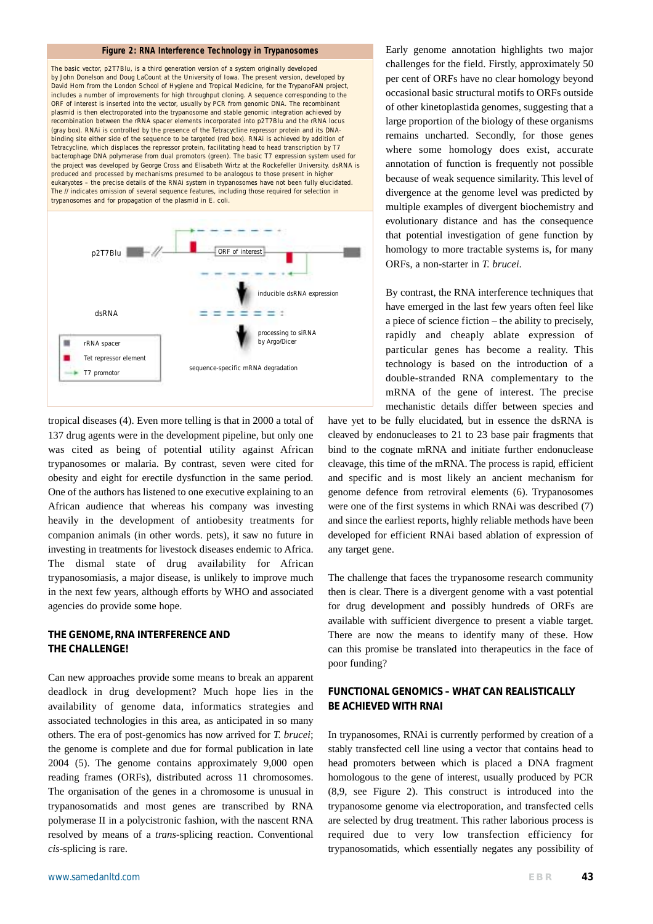### **Figure 2: RNA Interference Technology in Trypanosomes**

The basic vector, p2T7Blu, is a third generation version of a system originally developed by John Donelson and Doug LaCount at the University of Iowa. The present version, developed by David Horn from the London School of Hygiene and Tropical Medicine, for the TrypanoFAN project, includes a number of improvements for high throughput cloning. A sequence corresponding to the ORF of interest is inserted into the vector, usually by PCR from genomic DNA. The recombinant plasmid is then electroporated into the trypanosome and stable genomic integration achieved by recombination between the rRNA spacer elements incorporated into p2T7Blu and the rRNA locus (gray box). RNAi is controlled by the presence of the Tetracycline repressor protein and its DNAbinding site either side of the sequence to be targeted (red box). RNAi is achieved by addition of Tetracycline, which displaces the repressor protein, facilitating head to head transcription by T7 bacterophage DNA polymerase from dual promotors (green). The basic T7 expression system used for the project was developed by George Cross and Elisabeth Wirtz at the Rockefeller University. dsRNA is produced and processed by mechanisms presumed to be analogous to those present in higher eukaryotes – the precise details of the RNAi system in trypanosomes have not been fully elucidated. The // indicates omission of several sequence features, including those required for selection in trypanosomes and for propagation of the plasmid in *E. coli*.



tropical diseases (4). Even more telling is that in 2000 a total of 137 drug agents were in the development pipeline, but only one was cited as being of potential utility against African trypanosomes or malaria. By contrast, seven were cited for obesity and eight for erectile dysfunction in the same period. One of the authors has listened to one executive explaining to an African audience that whereas his company was investing heavily in the development of antiobesity treatments for companion animals (in other words. pets), it saw no future in investing in treatments for livestock diseases endemic to Africa. The dismal state of drug availability for African trypanosomiasis, a major disease, is unlikely to improve much in the next few years, although efforts by WHO and associated agencies do provide some hope.

# **THE GENOME, RNA INTERFERENCE AND THE CHALLENGE!**

Can new approaches provide some means to break an apparent deadlock in drug development? Much hope lies in the availability of genome data, informatics strategies and associated technologies in this area, as anticipated in so many others. The era of post-genomics has now arrived for *T. brucei*; the genome is complete and due for formal publication in late 2004 (5). The genome contains approximately 9,000 open reading frames (ORFs), distributed across 11 chromosomes. The organisation of the genes in a chromosome is unusual in trypanosomatids and most genes are transcribed by RNA polymerase II in a polycistronic fashion, with the nascent RNA resolved by means of a *trans*-splicing reaction. Conventional *cis*-splicing is rare.

Early genome annotation highlights two major challenges for the field. Firstly, approximately 50 per cent of ORFs have no clear homology beyond occasional basic structural motifs to ORFs outside of other kinetoplastida genomes, suggesting that a large proportion of the biology of these organisms remains uncharted. Secondly, for those genes where some homology does exist, accurate annotation of function is frequently not possible because of weak sequence similarity. This level of divergence at the genome level was predicted by multiple examples of divergent biochemistry and evolutionary distance and has the consequence that potential investigation of gene function by homology to more tractable systems is, for many ORFs, a non-starter in *T. brucei*.

By contrast, the RNA interference techniques that have emerged in the last few years often feel like a piece of science fiction – the ability to precisely, rapidly and cheaply ablate expression of particular genes has become a reality. This technology is based on the introduction of a double-stranded RNA complementary to the mRNA of the gene of interest. The precise mechanistic details differ between species and

have yet to be fully elucidated, but in essence the dsRNA is cleaved by endonucleases to 21 to 23 base pair fragments that bind to the cognate mRNA and initiate further endonuclease cleavage, this time of the mRNA. The process is rapid, efficient and specific and is most likely an ancient mechanism for genome defence from retroviral elements (6). Trypanosomes were one of the first systems in which RNAi was described (7) and since the earliest reports, highly reliable methods have been developed for efficient RNAi based ablation of expression of any target gene.

The challenge that faces the trypanosome research community then is clear. There is a divergent genome with a vast potential for drug development and possibly hundreds of ORFs are available with sufficient divergence to present a viable target. There are now the means to identify many of these. How can this promise be translated into therapeutics in the face of poor funding?

# **FUNCTIONAL GENOMICS – WHAT CAN REALISTICALLY BE ACHIEVED WITH RNAI**

In trypanosomes, RNAi is currently performed by creation of a stably transfected cell line using a vector that contains head to head promoters between which is placed a DNA fragment homologous to the gene of interest, usually produced by PCR (8,9, see Figure 2). This construct is introduced into the trypanosome genome via electroporation, and transfected cells are selected by drug treatment. This rather laborious process is required due to very low transfection efficiency for trypanosomatids, which essentially negates any possibility of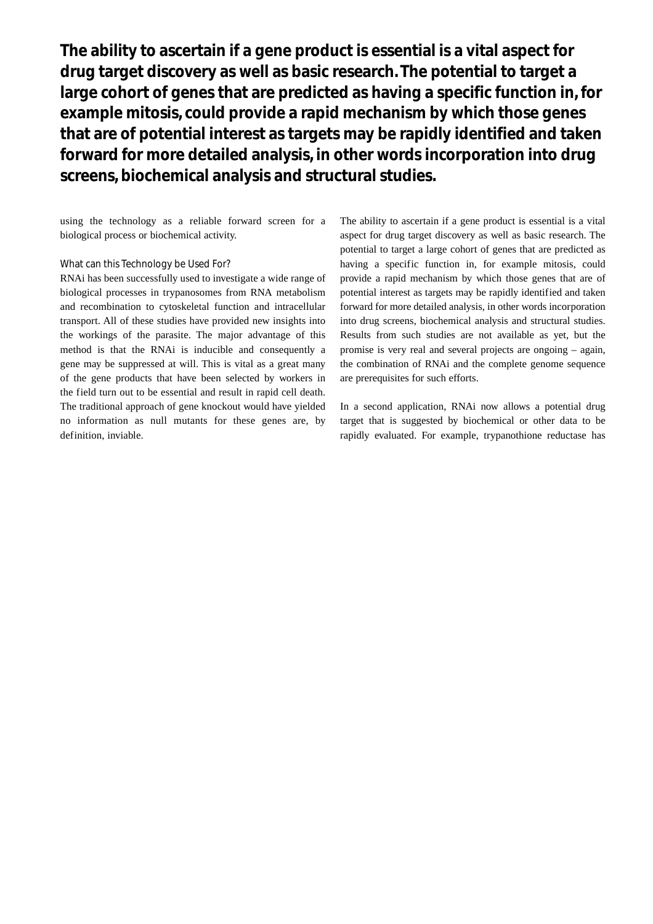**The ability to ascertain if a gene product is essential is a vital aspect for drug target discovery as well as basic research. The potential to target a large cohort of genes that are predicted as having a specific function in, for example mitosis, could provide a rapid mechanism by which those genes that are of potential interest as targets may be rapidly identified and taken forward for more detailed analysis, in other words incorporation into drug screens, biochemical analysis and structural studies.**

using the technology as a reliable forward screen for a biological process or biochemical activity.

## What can this Technology be Used For?

RNAi has been successfully used to investigate a wide range of biological processes in trypanosomes from RNA metabolism and recombination to cytoskeletal function and intracellular transport. All of these studies have provided new insights into the workings of the parasite. The major advantage of this method is that the RNAi is inducible and consequently a gene may be suppressed at will. This is vital as a great many of the gene products that have been selected by workers in the field turn out to be essential and result in rapid cell death. The traditional approach of gene knockout would have yielded no information as null mutants for these genes are, by definition, inviable.

The ability to ascertain if a gene product is essential is a vital aspect for drug target discovery as well as basic research. The potential to target a large cohort of genes that are predicted as having a specific function in, for example mitosis, could provide a rapid mechanism by which those genes that are of potential interest as targets may be rapidly identified and taken forward for more detailed analysis, in other words incorporation into drug screens, biochemical analysis and structural studies. Results from such studies are not available as yet, but the promise is very real and several projects are ongoing – again, the combination of RNAi and the complete genome sequence are prerequisites for such efforts.

In a second application, RNAi now allows a potential drug target that is suggested by biochemical or other data to be rapidly evaluated. For example, trypanothione reductase has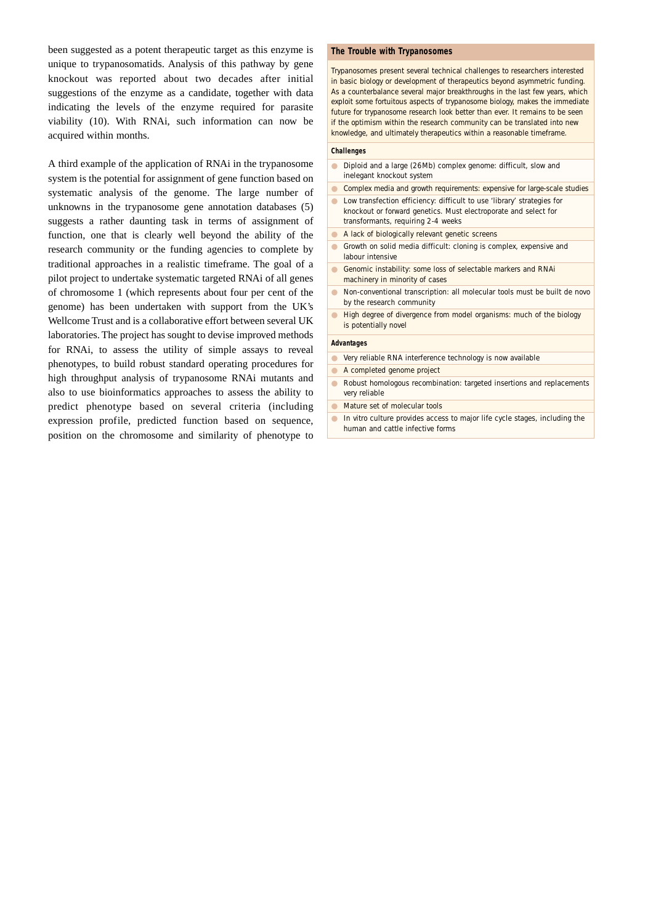been suggested as a potent therapeutic target as this enzyme is unique to trypanosomatids. Analysis of this pathway by gene knockout was reported about two decades after initial suggestions of the enzyme as a candidate, together with data indicating the levels of the enzyme required for parasite viability (10). With RNAi, such information can now be acquired within months.

A third example of the application of RNAi in the trypanosome system is the potential for assignment of gene function based on systematic analysis of the genome. The large number of unknowns in the trypanosome gene annotation databases (5) suggests a rather daunting task in terms of assignment of function, one that is clearly well beyond the ability of the research community or the funding agencies to complete by traditional approaches in a realistic timeframe. The goal of a pilot project to undertake systematic targeted RNAi of all genes of chromosome 1 (which represents about four per cent of the genome) has been undertaken with support from the UK's Wellcome Trust and is a collaborative effort between several UK laboratories. The project has sought to devise improved methods for RNAi, to assess the utility of simple assays to reveal phenotypes, to build robust standard operating procedures for high throughput analysis of trypanosome RNAi mutants and also to use bioinformatics approaches to assess the ability to predict phenotype based on several criteria (including expression profile, predicted function based on sequence, position on the chromosome and similarity of phenotype to

#### **The Trouble with Trypanosomes**

Trypanosomes present several technical challenges to researchers interested in basic biology or development of therapeutics beyond asymmetric funding. As a counterbalance several major breakthroughs in the last few years, which exploit some fortuitous aspects of trypanosome biology, makes the immediate future for trypanosome research look better than ever. It remains to be seen if the optimism within the research community can be translated into new knowledge, and ultimately therapeutics within a reasonable timeframe.

#### **Challenges**

- Diploid and a large (26Mb) complex genome: difficult, slow and inelegant knockout system
- Complex media and growth requirements: expensive for large-scale studies
- Low transfection efficiency: difficult to use 'library' strategies for knockout or forward genetics. Must electroporate and select for transformants, requiring 2-4 weeks
- A lack of biologically relevant genetic screens
- Growth on solid media difficult: cloning is complex, expensive and labour intensive
- Genomic instability: some loss of selectable markers and RNAi machinery in minority of cases
- Non-conventional transcription: all molecular tools must be built *de novo* by the research community
- High degree of divergence from model organisms: much of the biology is potentially novel

#### **Advantages**

- Very reliable RNA interference technology is now available
- A completed genome project
- Robust homologous recombination: targeted insertions and replacements very reliable
- Mature set of molecular tools
- *In vitro* culture provides access to major life cycle stages, including the human and cattle infective forms